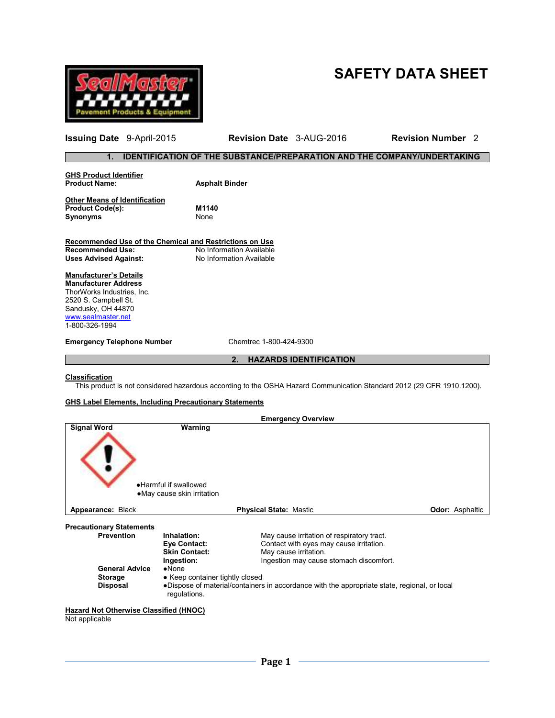



**Issuing Date** 9-April-2015 **Revision Date** 3-AUG-2016 **Revision Number** 2

# **1. IDENTIFICATION OF THE SUBSTANCE/PREPARATION AND THE COMPANY/UNDERTAKING**

| <b>GHS Product Identifier</b><br><b>Product Name:</b>   | <b>Asphalt Binder</b> |
|---------------------------------------------------------|-----------------------|
| <b>Other Means of Identification</b>                    |                       |
| <b>Product Code(s):</b>                                 | M1140                 |
| <b>Synonyms</b>                                         | None                  |
|                                                         |                       |
| Recommended Use of the Chemical and Restrictions on Use |                       |

**Recommended Use:** No Information Available Uses Advised Against: No Information Available

# **Manufacturer's Details**

**Manufacturer Address** ThorWorks Industries, Inc. 2520 S. Campbell St. Sandusky, OH 44870 www.sealmaster.net 1-800-326-1994

**Emergency Telephone Number** Chemtrec 1-800-424-9300

# **2. HAZARDS IDENTIFICATION**

#### **Classification**

This product is not considered hazardous according to the OSHA Hazard Communication Standard 2012 (29 CFR 1910.1200).

#### **GHS Label Elements, Including Precautionary Statements**

|                                                                                    |                                                                                     | <b>Emergency Overview</b>                                                                                                                                 |                        |
|------------------------------------------------------------------------------------|-------------------------------------------------------------------------------------|-----------------------------------------------------------------------------------------------------------------------------------------------------------|------------------------|
| <b>Signal Word</b>                                                                 | Warning<br>• Harmful if swallowed<br>• May cause skin irritation                    |                                                                                                                                                           |                        |
| Appearance: Black                                                                  |                                                                                     | <b>Physical State: Mastic</b>                                                                                                                             | <b>Odor: Asphaltic</b> |
| <b>Precautionary Statements</b>                                                    |                                                                                     |                                                                                                                                                           |                        |
| <b>Prevention</b><br><b>General Advice</b>                                         | Inhalation:<br>Eye Contact:<br><b>Skin Contact:</b><br>Ingestion:<br>$\bullet$ None | May cause irritation of respiratory tract.<br>Contact with eyes may cause irritation.<br>May cause irritation.<br>Ingestion may cause stomach discomfort. |                        |
| <b>Storage</b><br><b>Disposal</b><br><b>Hazard Not Otherwise Classified (HNOC)</b> | • Keep container tightly closed<br>regulations.                                     | •Dispose of material/containers in accordance with the appropriate state, regional, or local                                                              |                        |

Not applicable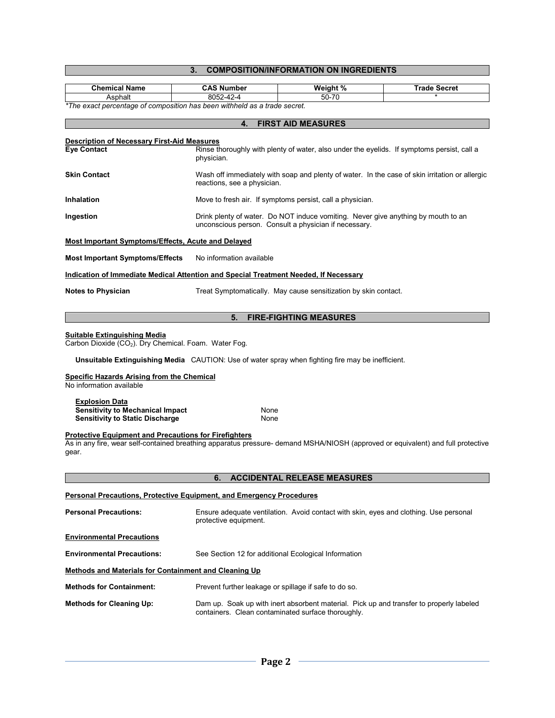# **3. COMPOSITION/INFORMATION ON INGREDIENTS**

| <b>Chemical Name</b>                                                                                                                                                                                      | <b>CAS Number</b>                                                                                                                                              | Weight %                                                                                                                                   | <b>Trade Secret</b>                                                                            |  |  |  |  |
|-----------------------------------------------------------------------------------------------------------------------------------------------------------------------------------------------------------|----------------------------------------------------------------------------------------------------------------------------------------------------------------|--------------------------------------------------------------------------------------------------------------------------------------------|------------------------------------------------------------------------------------------------|--|--|--|--|
| Asphalt                                                                                                                                                                                                   | 8052-42-4                                                                                                                                                      | $50 - 70$                                                                                                                                  |                                                                                                |  |  |  |  |
|                                                                                                                                                                                                           | *The exact percentage of composition has been withheld as a trade secret.                                                                                      |                                                                                                                                            |                                                                                                |  |  |  |  |
|                                                                                                                                                                                                           | 4.                                                                                                                                                             | <b>FIRST AID MEASURES</b>                                                                                                                  |                                                                                                |  |  |  |  |
| <b>Eye Contact</b>                                                                                                                                                                                        | <b>Description of Necessary First-Aid Measures</b><br>Rinse thoroughly with plenty of water, also under the eyelids. If symptoms persist, call a<br>physician. |                                                                                                                                            |                                                                                                |  |  |  |  |
| <b>Skin Contact</b>                                                                                                                                                                                       | reactions, see a physician.                                                                                                                                    |                                                                                                                                            | Wash off immediately with soap and plenty of water. In the case of skin irritation or allergic |  |  |  |  |
| Inhalation                                                                                                                                                                                                |                                                                                                                                                                | Move to fresh air. If symptoms persist, call a physician.                                                                                  |                                                                                                |  |  |  |  |
| Ingestion                                                                                                                                                                                                 |                                                                                                                                                                | Drink plenty of water. Do NOT induce vomiting. Never give anything by mouth to an<br>unconscious person. Consult a physician if necessary. |                                                                                                |  |  |  |  |
| <b>Most Important Symptoms/Effects, Acute and Delayed</b>                                                                                                                                                 |                                                                                                                                                                |                                                                                                                                            |                                                                                                |  |  |  |  |
| <b>Most Important Symptoms/Effects</b>                                                                                                                                                                    | No information available                                                                                                                                       |                                                                                                                                            |                                                                                                |  |  |  |  |
| Indication of Immediate Medical Attention and Special Treatment Needed, If Necessary                                                                                                                      |                                                                                                                                                                |                                                                                                                                            |                                                                                                |  |  |  |  |
| <b>Notes to Physician</b>                                                                                                                                                                                 | Treat Symptomatically. May cause sensitization by skin contact.                                                                                                |                                                                                                                                            |                                                                                                |  |  |  |  |
|                                                                                                                                                                                                           | 5.                                                                                                                                                             | <b>FIRE-FIGHTING MEASURES</b>                                                                                                              |                                                                                                |  |  |  |  |
| <u>Suitable Extinguishing Media</u><br>Carbon Dioxide (CO <sub>2</sub> ). Dry Chemical. Foam. Water Fog.                                                                                                  |                                                                                                                                                                | Unsuitable Extinguishing Media CAUTION: Use of water spray when fighting fire may be inefficient.                                          |                                                                                                |  |  |  |  |
| <b>Specific Hazards Arising from the Chemical</b><br>No information available                                                                                                                             |                                                                                                                                                                |                                                                                                                                            |                                                                                                |  |  |  |  |
| <b>Explosion Data</b><br><b>Sensitivity to Mechanical Impact</b><br><b>Sensitivity to Static Discharge</b>                                                                                                | None<br>None                                                                                                                                                   |                                                                                                                                            |                                                                                                |  |  |  |  |
| <b>Protective Equipment and Precautions for Firefighters</b><br>As in any fire, wear self-contained breathing apparatus pressure- demand MSHA/NIOSH (approved or equivalent) and full protective<br>gear. |                                                                                                                                                                |                                                                                                                                            |                                                                                                |  |  |  |  |
|                                                                                                                                                                                                           | 6.                                                                                                                                                             | <b>ACCIDENTAL RELEASE MEASURES</b>                                                                                                         |                                                                                                |  |  |  |  |
|                                                                                                                                                                                                           |                                                                                                                                                                |                                                                                                                                            |                                                                                                |  |  |  |  |
| <b>Personal Precautions, Protective Equipment, and Emergency Procedures</b>                                                                                                                               |                                                                                                                                                                |                                                                                                                                            |                                                                                                |  |  |  |  |
| <b>Personal Precautions:</b>                                                                                                                                                                              | protective equipment.                                                                                                                                          | Ensure adequate ventilation. Avoid contact with skin, eyes and clothing. Use personal                                                      |                                                                                                |  |  |  |  |
| <b>Environmental Precautions</b>                                                                                                                                                                          |                                                                                                                                                                |                                                                                                                                            |                                                                                                |  |  |  |  |
| <b>Environmental Precautions:</b>                                                                                                                                                                         |                                                                                                                                                                | See Section 12 for additional Ecological Information                                                                                       |                                                                                                |  |  |  |  |
| <b>Methods and Materials for Containment and Cleaning Up</b>                                                                                                                                              |                                                                                                                                                                |                                                                                                                                            |                                                                                                |  |  |  |  |
| <b>Methods for Containment:</b>                                                                                                                                                                           |                                                                                                                                                                | Prevent further leakage or spillage if safe to do so.                                                                                      |                                                                                                |  |  |  |  |
| <b>Methods for Cleaning Up:</b>                                                                                                                                                                           | Dam up. Soak up with inert absorbent material. Pick up and transfer to properly labeled<br>containers. Clean contaminated surface thoroughly.                  |                                                                                                                                            |                                                                                                |  |  |  |  |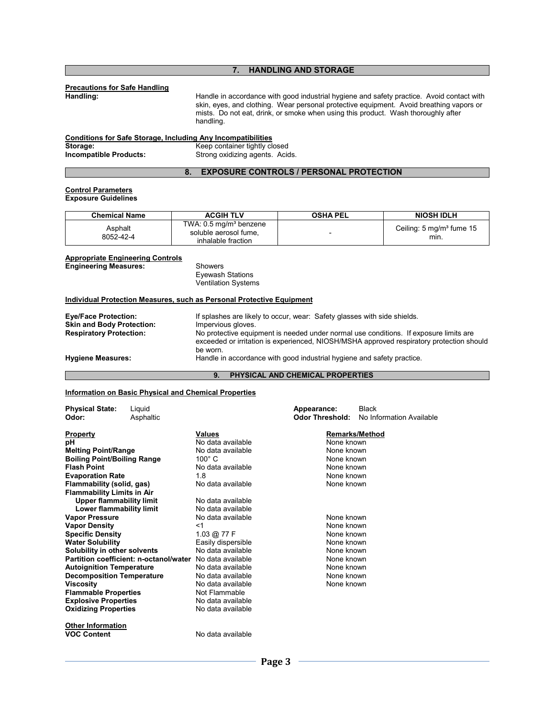# **7. HANDLING AND STORAGE**

# **Precautions for Safe Handling**

Handle in accordance with good industrial hygiene and safety practice. Avoid contact with skin, eyes, and clothing. Wear personal protective equipment. Avoid breathing vapors or mists. Do not eat, drink, or smoke when using this product. Wash thoroughly after handling.

| <b>Conditions for Safe Storage, Including Any Incompatibilities</b> |                                 |  |  |
|---------------------------------------------------------------------|---------------------------------|--|--|
| Storage:                                                            | Keep container tightly closed   |  |  |
| <b>Incompatible Products:</b>                                       | Strong oxidizing agents. Acids. |  |  |

#### **8. EXPOSURE CONTROLS / PERSONAL PROTECTION**

#### **Control Parameters Exposure Guidelines**

| <b>Chemical Name</b> | <b>ACGIH TLV</b>                                                                  | <b>OSHA PEL</b> | <b>NIOSH IDLH</b>                             |
|----------------------|-----------------------------------------------------------------------------------|-----------------|-----------------------------------------------|
| Asphalt<br>8052-42-4 | TWA: 0.5 mg/m <sup>3</sup> benzene<br>soluble aerosol fume,<br>inhalable fraction |                 | Ceiling: $5 \text{ mg/m}^3$ fume $15$<br>mın. |

#### **Appropriate Engineering Controls**

**Engineering Measures:** Showers

 Eyewash Stations Ventilation Systems

#### **Individual Protection Measures, such as Personal Protective Equipment**

| <b>Eye/Face Protection:</b>      | If splashes are likely to occur, wear: Safety glasses with side shields.                                                                                                       |
|----------------------------------|--------------------------------------------------------------------------------------------------------------------------------------------------------------------------------|
| <b>Skin and Body Protection:</b> | Impervious gloves.                                                                                                                                                             |
| <b>Respiratory Protection:</b>   | No protective equipment is needed under normal use conditions. If exposure limits are                                                                                          |
| <b>Hygiene Measures:</b>         | exceeded or irritation is experienced, NIOSH/MSHA approved respiratory protection should<br>be worn.<br>Handle in accordance with good industrial hygiene and safety practice. |

# **9. PHYSICAL AND CHEMICAL PROPERTIES**

### **Information on Basic Physical and Chemical Properties**

| <b>Physical State:</b>             | Liquid                                                   |                    | Appearance: |                        | <b>Black</b>             |
|------------------------------------|----------------------------------------------------------|--------------------|-------------|------------------------|--------------------------|
| Odor:                              | Asphaltic                                                |                    |             | <b>Odor Threshold:</b> | No Information Available |
| <b>Property</b>                    |                                                          | Values             |             |                        | <b>Remarks/Method</b>    |
| рH                                 |                                                          | No data available  |             | None known             |                          |
| <b>Melting Point/Range</b>         |                                                          | No data available  |             | None known             |                          |
| <b>Boiling Point/Boiling Range</b> |                                                          | $100^\circ$ C      |             | None known             |                          |
| <b>Flash Point</b>                 |                                                          | No data available  |             | None known             |                          |
| <b>Evaporation Rate</b>            |                                                          | 1.8                |             | None known             |                          |
| Flammability (solid, gas)          |                                                          | No data available  |             | None known             |                          |
| <b>Flammability Limits in Air</b>  |                                                          |                    |             |                        |                          |
| <b>Upper flammability limit</b>    |                                                          | No data available  |             |                        |                          |
| Lower flammability limit           |                                                          | No data available  |             |                        |                          |
| <b>Vapor Pressure</b>              |                                                          | No data available  |             | None known             |                          |
| <b>Vapor Density</b>               |                                                          | <1                 |             | None known             |                          |
| <b>Specific Density</b>            |                                                          | 1.03 @ 77 F        |             | None known             |                          |
| <b>Water Solubility</b>            |                                                          | Easily dispersible |             | None known             |                          |
| Solubility in other solvents       |                                                          | No data available  |             | None known             |                          |
|                                    | Partition coefficient: n-octanol/water No data available |                    |             | None known             |                          |
| <b>Autoignition Temperature</b>    |                                                          | No data available  |             | None known             |                          |
| <b>Decomposition Temperature</b>   |                                                          | No data available  |             | None known             |                          |
| <b>Viscosity</b>                   |                                                          | No data available  |             | None known             |                          |
| <b>Flammable Properties</b>        |                                                          | Not Flammable      |             |                        |                          |
| <b>Explosive Properties</b>        |                                                          | No data available  |             |                        |                          |
| <b>Oxidizing Properties</b>        |                                                          | No data available  |             |                        |                          |
| <b>Other Information</b>           |                                                          |                    |             |                        |                          |
| <b>VOC Content</b>                 |                                                          | No data available  |             |                        |                          |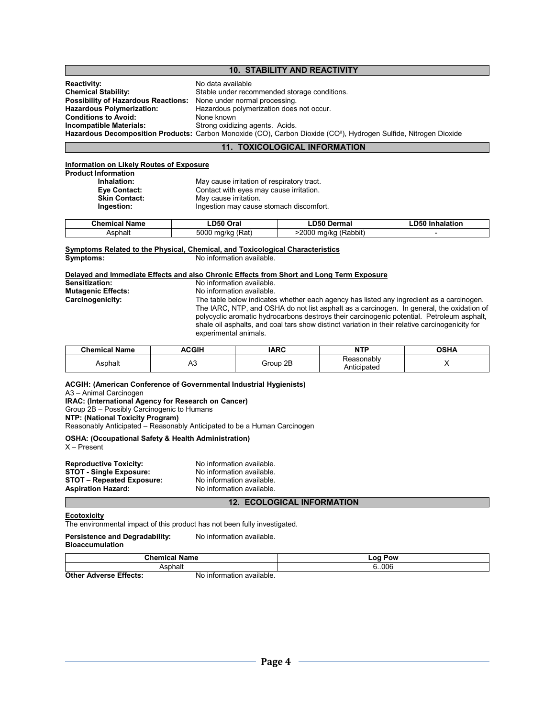# **10. STABILITY AND REACTIVITY**

| <b>Reactivity:</b>                                                       | No data available                                                                                                             |
|--------------------------------------------------------------------------|-------------------------------------------------------------------------------------------------------------------------------|
| <b>Chemical Stability:</b>                                               | Stable under recommended storage conditions.                                                                                  |
| <b>Possibility of Hazardous Reactions:</b> None under normal processing. |                                                                                                                               |
| <b>Hazardous Polymerization:</b>                                         | Hazardous polymerization does not occur.                                                                                      |
| <b>Conditions to Avoid:</b>                                              | None known                                                                                                                    |
| Incompatible Materials:                                                  | Strong oxidizing agents. Acids.                                                                                               |
|                                                                          | Hazardous Decomposition Products: Carbon Monoxide (CO), Carbon Dioxide (CO <sup>2</sup> ), Hydrogen Sulfide, Nitrogen Dioxide |

#### **11. TOXICOLOGICAL INFORMATION**

#### **Information on Likely Routes of Exposure**

| Product Information  |                                            |
|----------------------|--------------------------------------------|
| Inhalation:          | May cause irritation of respiratory tract. |
| Eye Contact:         | Contact with eyes may cause irritation.    |
| <b>Skin Contact:</b> | May cause irritation.                      |
| Ingestion:           | Ingestion may cause stomach discomfort.    |
|                      |                                            |

| Chemical<br>Name | <b>DEO</b><br>$\sim$<br>Uidi                    | ----<br>.)erma'<br>∟ייט.<br>чы.                                 | -D50<br>متملماه<br>ididliui |
|------------------|-------------------------------------------------|-----------------------------------------------------------------|-----------------------------|
| Asphalt          | <b>-000</b><br>(Rat)<br>. $1/\mathsf{k}$ r<br>ж | 2000<br>$\cdots$<br>√Rahhi,<br>ma <sub>i</sub><br>$\frac{1}{2}$ |                             |

#### **Symptoms Related to the Physical, Chemical, and Toxicological Characteristics Symptoms:** No information available.

# **Delayed and Immediate Effects and also Chronic Effects from Short and Long Term Exposure**

| Sensitization:     | No information available.                                                                                                                                                                                                                                                                                           |
|--------------------|---------------------------------------------------------------------------------------------------------------------------------------------------------------------------------------------------------------------------------------------------------------------------------------------------------------------|
| Mutagenic Effects: | No information available.                                                                                                                                                                                                                                                                                           |
| Carcinogenicity:   | The table below indicates whether each agency has listed any ingredient as a carcinogen.                                                                                                                                                                                                                            |
|                    | The IARC, NTP, and OSHA do not list asphalt as a carcinogen. In general, the oxidation of<br>polycyclic aromatic hydrocarbons destroys their carcinogenic potential. Petroleum asphalt,<br>shale oil asphalts, and coal tars show distinct variation in their relative carcinogenicity for<br>experimental animals. |

| <b>Chemical Name</b> | <b>\CGIH</b> | <b>IARC</b> | ™ть.<br>ווא               | י ⊔י∩<br>Aתט |
|----------------------|--------------|-------------|---------------------------|--------------|
| <b>\sphalt</b><br>__ | nυ           | 2B<br>Group | Reasonablv<br>Anticipated |              |

#### **ACGIH: (American Conference of Governmental Industrial Hygienists)**

A3 – Animal Carcinogen

**IRAC: (International Agency for Research on Cancer)**

Group 2B – Possibly Carcinogenic to Humans

**NTP: (National Toxicity Program)** 

Reasonably Anticipated – Reasonably Anticipated to be a Human Carcinogen

# **OSHA: (Occupational Safety & Health Administration)**

X – Present

| <b>Reproductive Toxicity:</b>    | No information available. |
|----------------------------------|---------------------------|
| <b>STOT - Single Exposure:</b>   | No information available. |
| <b>STOT - Repeated Exposure:</b> | No information available. |
| <b>Aspiration Hazard:</b>        | No information available. |

#### **12. ECOLOGICAL INFORMATION**

#### **Ecotoxicity**

The environmental impact of this product has not been fully investigated.

#### **Persistence and Degradability:** No information available. **Bioaccumulation**

| <b>Chemical Name</b>        |                              | Pow<br>$-00$ |  |
|-----------------------------|------------------------------|--------------|--|
| Asphalt                     |                              | 6.006        |  |
| * Adverse Effects:<br>Other | available.<br>No information |              |  |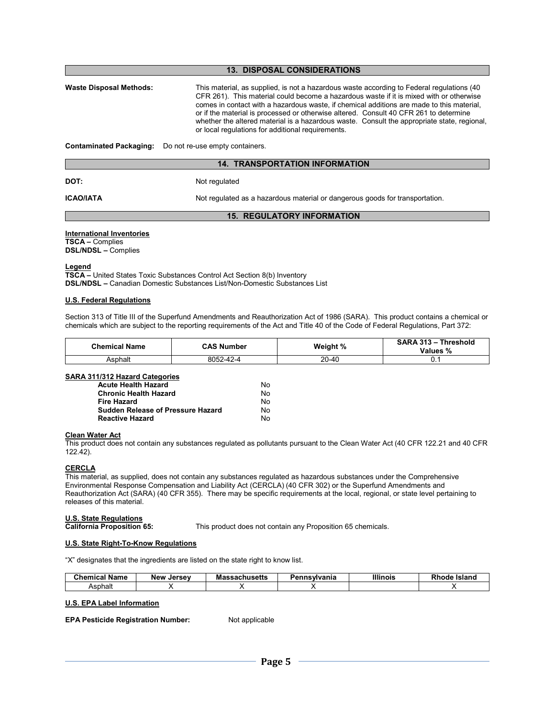| <b>13. DISPOSAL CONSIDERATIONS</b> |                                                                                                                                                                                                                                                                                                                                                                                                                                                                                                                                |  |  |  |  |
|------------------------------------|--------------------------------------------------------------------------------------------------------------------------------------------------------------------------------------------------------------------------------------------------------------------------------------------------------------------------------------------------------------------------------------------------------------------------------------------------------------------------------------------------------------------------------|--|--|--|--|
| Waste Disposal Methods:            | This material, as supplied, is not a hazardous waste according to Federal regulations (40<br>CFR 261). This material could become a hazardous waste if it is mixed with or otherwise<br>comes in contact with a hazardous waste, if chemical additions are made to this material,<br>or if the material is processed or otherwise altered. Consult 40 CFR 261 to determine<br>whether the altered material is a hazardous waste. Consult the appropriate state, regional,<br>or local regulations for additional requirements. |  |  |  |  |
| Contaminated Packaging:            | Do not re-use empty containers.                                                                                                                                                                                                                                                                                                                                                                                                                                                                                                |  |  |  |  |
|                                    | <b>14. TRANSPORTATION INFORMATION</b>                                                                                                                                                                                                                                                                                                                                                                                                                                                                                          |  |  |  |  |
| <b>DOT:</b>                        | Not regulated                                                                                                                                                                                                                                                                                                                                                                                                                                                                                                                  |  |  |  |  |
| ICAO/IATA                          | Not regulated as a hazardous material or dangerous goods for transportation.                                                                                                                                                                                                                                                                                                                                                                                                                                                   |  |  |  |  |

#### **15. REGULATORY INFORMATION**

### **International Inventories**

**TSCA –** Complies **DSL/NDSL –** Complies

#### **Legend**

**TSCA –** United States Toxic Substances Control Act Section 8(b) Inventory **DSL/NDSL –** Canadian Domestic Substances List/Non-Domestic Substances List

# **U.S. Federal Regulations**

Section 313 of Title III of the Superfund Amendments and Reauthorization Act of 1986 (SARA). This product contains a chemical or chemicals which are subject to the reporting requirements of the Act and Title 40 of the Code of Federal Regulations, Part 372:

| <b>Chemical Name</b> | <b>CAS Number</b> | Weight % | SARA 313 - Threshold<br>Values % |
|----------------------|-------------------|----------|----------------------------------|
| Asphalt              | 8052-42-4         | 20-40    | ັບ. .                            |

# **SARA 311/312 Hazard Categories**

| <b>Acute Health Hazard</b>               | No. |
|------------------------------------------|-----|
| <b>Chronic Health Hazard</b>             | No. |
| <b>Fire Hazard</b>                       | No. |
| <b>Sudden Release of Pressure Hazard</b> | No. |
| <b>Reactive Hazard</b>                   | No. |

#### **Clean Water Act**

This product does not contain any substances regulated as pollutants pursuant to the Clean Water Act (40 CFR 122.21 and 40 CFR 122.42).

# **CERCLA**

This material, as supplied, does not contain any substances regulated as hazardous substances under the Comprehensive Environmental Response Compensation and Liability Act (CERCLA) (40 CFR 302) or the Superfund Amendments and Reauthorization Act (SARA) (40 CFR 355). There may be specific requirements at the local, regional, or state level pertaining to releases of this material.

**U.S. State Regulations** 

This product does not contain any Proposition 65 chemicals.

# **U.S. State Right-To-Know Regulations**

"X" designates that the ingredients are listed on the state right to know list.

| Chemical Name | <b>New</b><br>. Jersev | <b>Massachusetts</b> | Pennsvlvania | <b>Illinois</b> | <b>Rhode</b><br>Island |
|---------------|------------------------|----------------------|--------------|-----------------|------------------------|
| Asphalt       |                        |                      |              |                 |                        |

### **U.S. EPA Label Information**

**EPA Pesticide Registration Number:** Not applicable